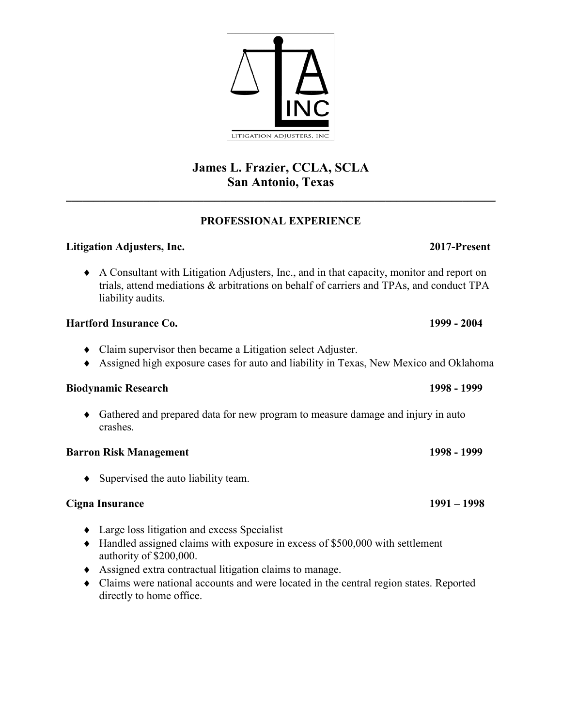# **James L. Frazier, CCLA, SCLA San Antonio, Texas**  $\mathcal{L}_\mathcal{L} = \mathcal{L}_\mathcal{L} = \mathcal{L}_\mathcal{L} = \mathcal{L}_\mathcal{L} = \mathcal{L}_\mathcal{L} = \mathcal{L}_\mathcal{L} = \mathcal{L}_\mathcal{L} = \mathcal{L}_\mathcal{L} = \mathcal{L}_\mathcal{L} = \mathcal{L}_\mathcal{L} = \mathcal{L}_\mathcal{L} = \mathcal{L}_\mathcal{L} = \mathcal{L}_\mathcal{L} = \mathcal{L}_\mathcal{L} = \mathcal{L}_\mathcal{L} = \mathcal{L}_\mathcal{L} = \mathcal{L}_\mathcal{L}$

### **PROFESSIONAL EXPERIENCE**

## **Litigation Adjusters, Inc. 2017-Present**

 A Consultant with Litigation Adjusters, Inc., and in that capacity, monitor and report on trials, attend mediations & arbitrations on behalf of carriers and TPAs, and conduct TPA liability audits.

# **Hartford Insurance Co. 1999 - 2004**

- Claim supervisor then became a Litigation select Adjuster.
- Assigned high exposure cases for auto and liability in Texas, New Mexico and Oklahoma

## **Biodynamic Research 1998 - 1999**

 Gathered and prepared data for new program to measure damage and injury in auto crashes.

## **Barron Risk Management** 1998 - 1999

 $\bullet$  Supervised the auto liability team.

## **Cigna Insurance 1991 – 1998**

- $\triangleleft$  Large loss litigation and excess Specialist
- $\blacklozenge$  Handled assigned claims with exposure in excess of \$500,000 with settlement authority of \$200,000.
- Assigned extra contractual litigation claims to manage.
- Claims were national accounts and were located in the central region states. Reported directly to home office.